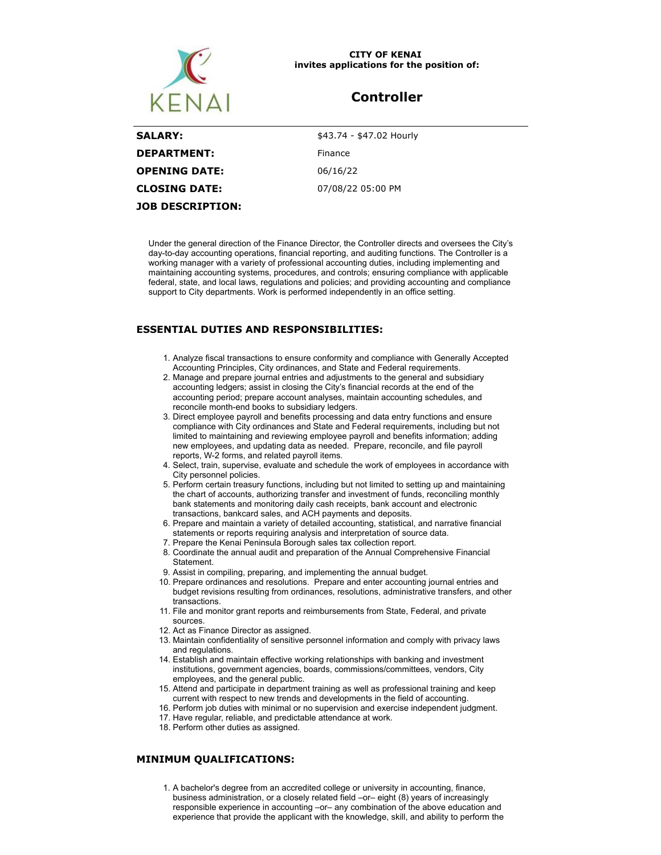

#### **CITY OF KENAI invites applications for the position of:**

# **Controller**

| <b>SALARY:</b>       | \$43.74 - \$47.02 Hourly |
|----------------------|--------------------------|
| <b>DEPARTMENT:</b>   | Finance                  |
| <b>OPENING DATE:</b> | 06/16/22                 |
| <b>CLOSING DATE:</b> | 07/08/22 05:00 PM        |
| JOB DESCRIPTION:     |                          |

Under the general direction of the Finance Director, the Controller directs and oversees the City's day-to-day accounting operations, financial reporting, and auditing functions. The Controller is a working manager with a variety of professional accounting duties, including implementing and maintaining accounting systems, procedures, and controls; ensuring compliance with applicable federal, state, and local laws, regulations and policies; and providing accounting and compliance support to City departments. Work is performed independently in an office setting.

## **ESSENTIAL DUTIES AND RESPONSIBILITIES:**

- 1. Analyze fiscal transactions to ensure conformity and compliance with Generally Accepted Accounting Principles, City ordinances, and State and Federal requirements.
- 2. Manage and prepare journal entries and adjustments to the general and subsidiary accounting ledgers; assist in closing the City's financial records at the end of the accounting period; prepare account analyses, maintain accounting schedules, and reconcile month-end books to subsidiary ledgers.
- 3. Direct employee payroll and benefits processing and data entry functions and ensure compliance with City ordinances and State and Federal requirements, including but not limited to maintaining and reviewing employee payroll and benefits information; adding new employees, and updating data as needed. Prepare, reconcile, and file payroll reports, W-2 forms, and related payroll items.
- 4. Select, train, supervise, evaluate and schedule the work of employees in accordance with City personnel policies.
- 5. Perform certain treasury functions, including but not limited to setting up and maintaining the chart of accounts, authorizing transfer and investment of funds, reconciling monthly bank statements and monitoring daily cash receipts, bank account and electronic transactions, bankcard sales, and ACH payments and deposits.
- 6. Prepare and maintain a variety of detailed accounting, statistical, and narrative financial statements or reports requiring analysis and interpretation of source data.
- 7. Prepare the Kenai Peninsula Borough sales tax collection report.
- 8. Coordinate the annual audit and preparation of the Annual Comprehensive Financial **Statement**
- 9. Assist in compiling, preparing, and implementing the annual budget.
- 10. Prepare ordinances and resolutions. Prepare and enter accounting journal entries and budget revisions resulting from ordinances, resolutions, administrative transfers, and other transactions.
- 11. File and monitor grant reports and reimbursements from State, Federal, and private sources.
- 12. Act as Finance Director as assigned.
- 13. Maintain confidentiality of sensitive personnel information and comply with privacy laws and regulations.
- 14. Establish and maintain effective working relationships with banking and investment institutions, government agencies, boards, commissions/committees, vendors, City employees, and the general public.
- 15. Attend and participate in department training as well as professional training and keep current with respect to new trends and developments in the field of accounting.
- 16. Perform job duties with minimal or no supervision and exercise independent judgment.
- 17. Have regular, reliable, and predictable attendance at work.
- 18. Perform other duties as assigned.

### **MINIMUM QUALIFICATIONS:**

1. A bachelor's degree from an accredited college or university in accounting, finance, business administration, or a closely related field –or– eight (8) years of increasingly responsible experience in accounting –or– any combination of the above education and experience that provide the applicant with the knowledge, skill, and ability to perform the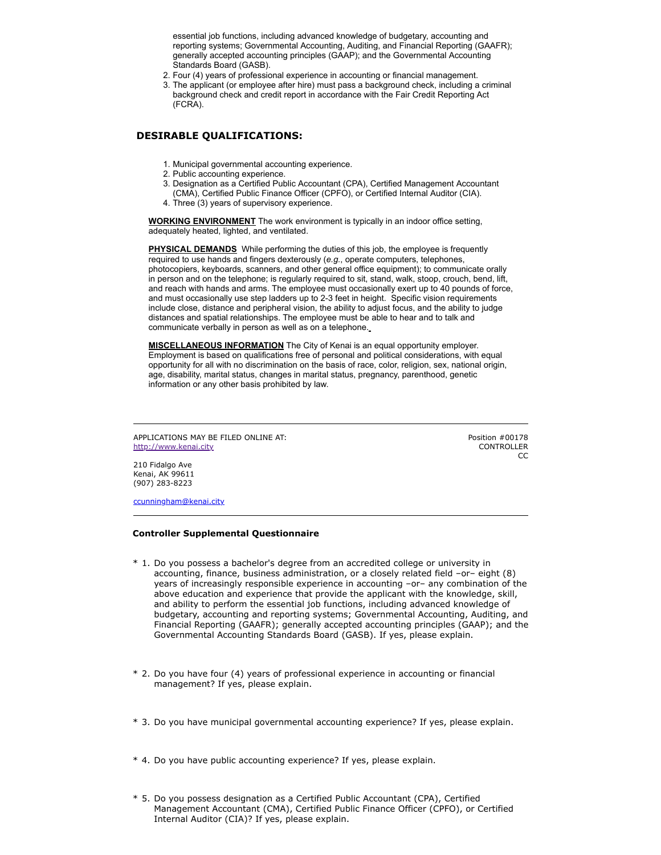essential job functions, including advanced knowledge of budgetary, accounting and reporting systems; Governmental Accounting, Auditing, and Financial Reporting (GAAFR); generally accepted accounting principles (GAAP); and the Governmental Accounting Standards Board (GASB).

- 2. Four (4) years of professional experience in accounting or financial management.
- 3. The applicant (or employee after hire) must pass a background check, including a criminal background check and credit report in accordance with the Fair Credit Reporting Act (FCRA).

### **DESIRABLE QUALIFICATIONS:**

- 1. Municipal governmental accounting experience.
- 2. Public accounting experience.
- 3. Designation as a Certified Public Accountant (CPA), Certified Management Accountant (CMA), Certified Public Finance Officer (CPFO), or Certified Internal Auditor (CIA).
- 4. Three (3) years of supervisory experience.

**WORKING ENVIRONMENT** The work environment is typically in an indoor office setting, adequately heated, lighted, and ventilated.

**PHYSICAL DEMANDS** While performing the duties of this job, the employee is frequently required to use hands and fingers dexterously (*e.g.*, operate computers, telephones, photocopiers, keyboards, scanners, and other general office equipment); to communicate orally in person and on the telephone; is regularly required to sit, stand, walk, stoop, crouch, bend, lift, and reach with hands and arms. The employee must occasionally exert up to 40 pounds of force, and must occasionally use step ladders up to 2-3 feet in height. Specific vision requirements include close, distance and peripheral vision, the ability to adjust focus, and the ability to judge distances and spatial relationships. The employee must be able to hear and to talk and communicate verbally in person as well as on a telephone.

**MISCELLANEOUS INFORMATION** The City of Kenai is an equal opportunity employer. Employment is based on qualifications free of personal and political considerations, with equal opportunity for all with no discrimination on the basis of race, color, religion, sex, national origin, age, disability, marital status, changes in marital status, pregnancy, parenthood, genetic information or any other basis prohibited by law.

APPLICATIONS MAY BE FILED ONLINE AT: [http://www.kenai.city](http://www.kenai.city/)

Position #00178 CONTROLLER  $\overline{C}$ 

210 Fidalgo Ave Kenai, AK 99611 (907) 283-8223

[ccunningham@kenai.city](mailto:ccunningham@kenai.city)

### **Controller Supplemental Questionnaire**

- \* 1. Do you possess a bachelor's degree from an accredited college or university in accounting, finance, business administration, or a closely related field –or– eight (8) years of increasingly responsible experience in accounting –or– any combination of the above education and experience that provide the applicant with the knowledge, skill, and ability to perform the essential job functions, including advanced knowledge of budgetary, accounting and reporting systems; Governmental Accounting, Auditing, and Financial Reporting (GAAFR); generally accepted accounting principles (GAAP); and the Governmental Accounting Standards Board (GASB). If yes, please explain.
- \* 2. Do you have four (4) years of professional experience in accounting or financial management? If yes, please explain.
- \* 3. Do you have municipal governmental accounting experience? If yes, please explain.
- \* 4. Do you have public accounting experience? If yes, please explain.
- \* 5. Do you possess designation as a Certified Public Accountant (CPA), Certified Management Accountant (CMA), Certified Public Finance Officer (CPFO), or Certified Internal Auditor (CIA)? If yes, please explain.